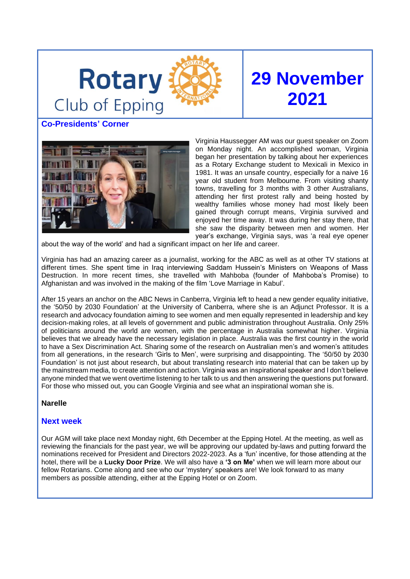

# **29 November 2021**

**Co-Presidents' Corner**



Virginia Haussegger AM was our guest speaker on Zoom on Monday night. An accomplished woman, Virginia began her presentation by talking about her experiences as a Rotary Exchange student to Mexicali in Mexico in 1981. It was an unsafe country, especially for a naive 16 year old student from Melbourne. From visiting shanty towns, travelling for 3 months with 3 other Australians, attending her first protest rally and being hosted by wealthy families whose money had most likely been gained through corrupt means, Virginia survived and enjoyed her time away. It was during her stay there, that she saw the disparity between men and women. Her year's exchange, Virginia says, was 'a real eye opener

about the way of the world' and had a significant impact on her life and career.

Virginia has had an amazing career as a journalist, working for the ABC as well as at other TV stations at different times. She spent time in Iraq interviewing Saddam Hussein's Ministers on Weapons of Mass Destruction. In more recent times, she travelled with Mahboba (founder of Mahboba's Promise) to Afghanistan and was involved in the making of the film 'Love Marriage in Kabul'.

After 15 years an anchor on the ABC News in Canberra, Virginia left to head a new gender equality initiative, the '50/50 by 2030 Foundation' at the University of Canberra, where she is an Adjunct Professor. It is a research and advocacy foundation aiming to see women and men equally represented in leadership and key decision-making roles, at all levels of government and public administration throughout Australia. Only 25% of politicians around the world are women, with the percentage in Australia somewhat higher. Virginia believes that we already have the necessary legislation in place. Australia was the first country in the world to have a Sex Discrimination Act. Sharing some of the research on Australian men's and women's attitudes from all generations, in the research 'Girls to Men', were surprising and disappointing. The '50/50 by 2030 Foundation' is not just about research, but about translating research into material that can be taken up by the mainstream media, to create attention and action. Virginia was an inspirational speaker and I don't believe anyone minded that we went overtime listening to her talk to us and then answering the questions put forward. For those who missed out, you can Google Virginia and see what an inspirational woman she is.

# **Narelle**

# **Next week**

Our AGM will take place next Monday night, 6th December at the Epping Hotel. At the meeting, as well as reviewing the financials for the past year, we will be approving our updated by-laws and putting forward the nominations received for President and Directors 2022-2023. As a 'fun' incentive, for those attending at the hotel, there will be a **Lucky Door Prize**. We will also have a **'3 on Me'** when we will learn more about our fellow Rotarians. Come along and see who our 'mystery' speakers are! We look forward to as many members as possible attending, either at the Epping Hotel or on Zoom.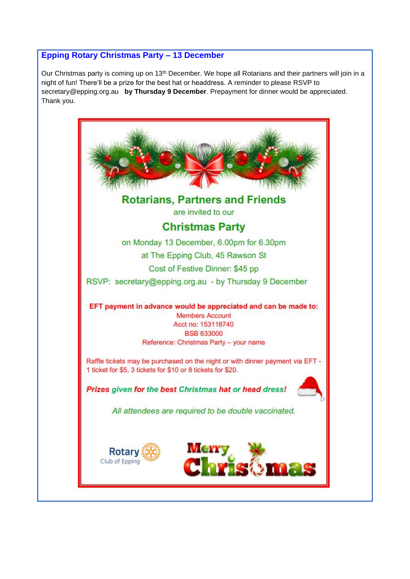# **Epping Rotary Christmas Party – 13 December**

Our Christmas party is coming up on 13<sup>th</sup> December. We hope all Rotarians and their partners will join in a night of fun! There'll be a prize for the best hat or headdress. A reminder to please RSVP to secretary@epping.org.au **by Thursday 9 December**. Prepayment for dinner would be appreciated. Thank you.

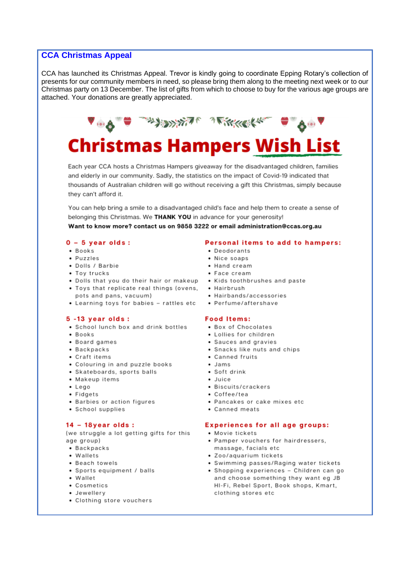# **CCA Christmas Appeal**

CCA has launched its Christmas Appeal. Trevor is kindly going to coordinate Epping Rotary's collection of presents for our community members in need, so please bring them along to the meeting next week or to our Christmas party on 13 December. The list of gifts from which to choose to buy for the various age groups are attached. Your donations are greatly appreciated.



Each year CCA hosts a Christmas Hampers giveaway for the disadvantaged children, families and elderly in our community. Sadly, the statistics on the impact of Covid-19 indicated that thousands of Australian children will go without receiving a gift this Christmas, simply because they can't afford it.

You can help bring a smile to a disadvantaged child's face and help them to create a sense of belonging this Christmas. We THANK YOU in advance for your generosity!

Want to know more? contact us on 9858 3222 or email administration@ccas.org.au

#### $0 - 5$  year olds:

- Books
- · Puzzles
- Dolls / Barbie
- Toy trucks
- . Dolls that you do their hair or makeup . Kids toothbrushes and paste
- Toys that replicate real things (ovens, Hairbrush pots and pans, vacuum)
- Learning toys for babies rattles etc

#### $5 - 13$  vear olds:

- School lunch box and drink bottles
- · Books
- Board games
- Backpacks
- Craft items
- Colouring in and puzzle books
- Skateboards, sports balls
- Makeup items
- $\bullet$  Lego
- · Fidgets
- Barbies or action figures
- · School supplies

#### $14 - 18$ year olds:

(we struggle a lot getting gifts for this age group)

- Backpacks
- Wallets
- · Beach towels
- · Sports equipment / balls
- Wallet
- Cosmetics
- · Jewellerv
- Clothing store vouchers

#### Personal items to add to hampers:

- Deodorants
- Nice soaps
- Hand cream
- Face cream
- 
- 
- Hairbands/accessories
- · Perfume/aftershave

#### **Food Items:**

- Box of Chocolates
- Lollies for children
- Sauces and gravies
- Snacks like nuts and chips
- Canned fruits
- · Jams
	- Soft drink
	- $\bullet$  Juice
	- · Biscuits/crackers
	- Coffee/tea
	- Pancakes or cake mixes etc
	- Canned meats

#### **Experiences for all age groups:**

- · Movie tickets
- Pamper vouchers for hairdressers, massage, facials etc
- · Zoo/aquarium tickets
- Swimming passes/Raging water tickets
- · Shopping experiences Children can go and choose something they want eg JB HI-Fi, Rebel Sport, Book shops, Kmart, clothing stores etc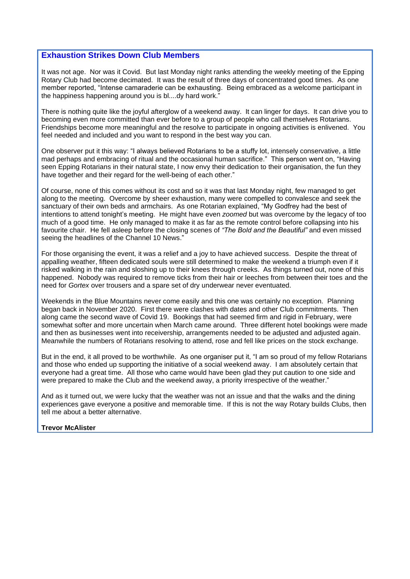## **Exhaustion Strikes Down Club Members**

It was not age. Nor was it Covid. But last Monday night ranks attending the weekly meeting of the Epping Rotary Club had become decimated. It was the result of three days of concentrated good times. As one member reported, "Intense camaraderie can be exhausting. Being embraced as a welcome participant in the happiness happening around you is bl....dy hard work."

There is nothing quite like the joyful afterglow of a weekend away. It can linger for days. It can drive you to becoming even more committed than ever before to a group of people who call themselves Rotarians. Friendships become more meaningful and the resolve to participate in ongoing activities is enlivened. You feel needed and included and you want to respond in the best way you can.

One observer put it this way: "I always believed Rotarians to be a stuffy lot, intensely conservative, a little mad perhaps and embracing of ritual and the occasional human sacrifice." This person went on, "Having seen Epping Rotarians in their natural state, I now envy their dedication to their organisation, the fun they have together and their regard for the well-being of each other."

Of course, none of this comes without its cost and so it was that last Monday night, few managed to get along to the meeting. Overcome by sheer exhaustion, many were compelled to convalesce and seek the sanctuary of their own beds and armchairs. As one Rotarian explained, "My Godfrey had the best of intentions to attend tonight's meeting. He might have even *zoomed* but was overcome by the legacy of too much of a good time. He only managed to make it as far as the remote control before collapsing into his favourite chair. He fell asleep before the closing scenes of *"The Bold and the Beautiful"* and even missed seeing the headlines of the Channel 10 News."

For those organising the event, it was a relief and a joy to have achieved success. Despite the threat of appalling weather, fifteen dedicated souls were still determined to make the weekend a triumph even if it risked walking in the rain and sloshing up to their knees through creeks. As things turned out, none of this happened. Nobody was required to remove ticks from their hair or leeches from between their toes and the need for *Gortex* over trousers and a spare set of dry underwear never eventuated.

Weekends in the Blue Mountains never come easily and this one was certainly no exception. Planning began back in November 2020. First there were clashes with dates and other Club commitments. Then along came the second wave of Covid 19. Bookings that had seemed firm and rigid in February, were somewhat softer and more uncertain when March came around. Three different hotel bookings were made and then as businesses went into receivership, arrangements needed to be adjusted and adjusted again. Meanwhile the numbers of Rotarians resolving to attend, rose and fell like prices on the stock exchange.

But in the end, it all proved to be worthwhile. As one organiser put it, "I am so proud of my fellow Rotarians and those who ended up supporting the initiative of a social weekend away. I am absolutely certain that everyone had a great time. All those who came would have been glad they put caution to one side and were prepared to make the Club and the weekend away, a priority irrespective of the weather."

And as it turned out, we were lucky that the weather was not an issue and that the walks and the dining experiences gave everyone a positive and memorable time. If this is not the way Rotary builds Clubs, then tell me about a better alternative.

#### **Trevor McAlister**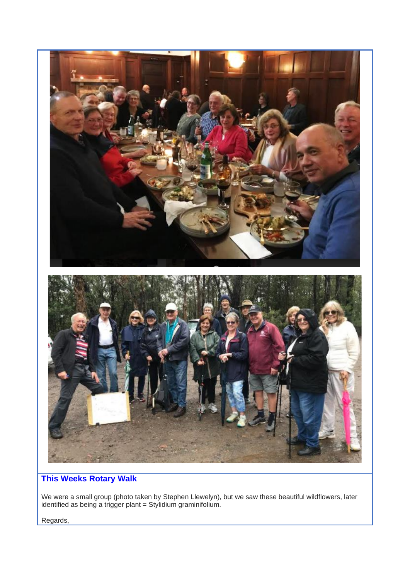

# **This Weeks Rotary Walk**

We were a small group (photo taken by Stephen Llewelyn), but we saw these beautiful wildflowers, later identified as being a trigger plant = Stylidium graminifolium.

Regards,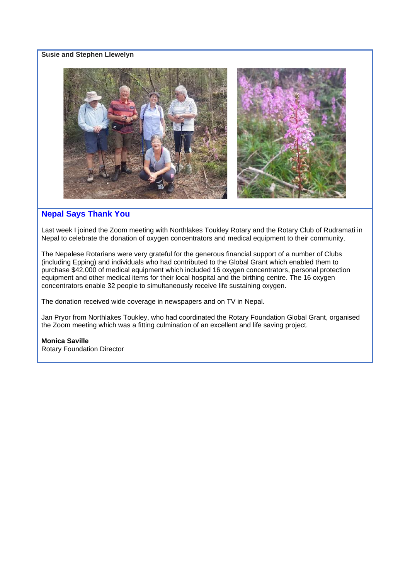### **Susie and Stephen Llewelyn**



# **Nepal Says Thank You**

Last week I joined the Zoom meeting with Northlakes Toukley Rotary and the Rotary Club of Rudramati in Nepal to celebrate the donation of oxygen concentrators and medical equipment to their community.

The Nepalese Rotarians were very grateful for the generous financial support of a number of Clubs (including Epping) and individuals who had contributed to the Global Grant which enabled them to purchase \$42,000 of medical equipment which included 16 oxygen concentrators, personal protection equipment and other medical items for their local hospital and the birthing centre. The 16 oxygen concentrators enable 32 people to simultaneously receive life sustaining oxygen.

The donation received wide coverage in newspapers and on TV in Nepal.

Jan Pryor from Northlakes Toukley, who had coordinated the Rotary Foundation Global Grant, organised the Zoom meeting which was a fitting culmination of an excellent and life saving project.

#### **Monica Saville**

Rotary Foundation Director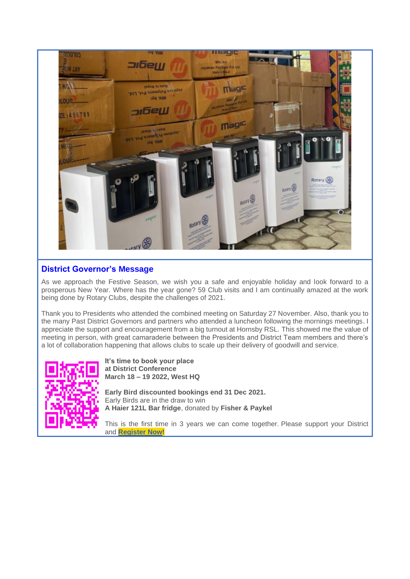

# **District Governor's Message**

As we approach the Festive Season, we wish you a safe and enjoyable holiday and look forward to a prosperous New Year. Where has the year gone? 59 Club visits and I am continually amazed at the work being done by Rotary Clubs, despite the challenges of 2021.

Thank you to Presidents who attended the combined meeting on Saturday 27 November. Also, thank you to the many Past District Governors and partners who attended a luncheon following the mornings meetings. I appreciate the support and encouragement from a big turnout at Hornsby RSL. This showed me the value of meeting in person, with great camaraderie between the Presidents and District Team members and there's a lot of collaboration happening that allows clubs to scale up their delivery of goodwill and service.



**It's time to book your place at District Conference March 18 – 19 2022, West HQ**

**Early Bird discounted bookings end 31 Dec 2021.** Early Birds are in the draw to win **A Haier 121L Bar fridge**, donated by **Fisher & Paykel**

This is the first time in 3 years we can come together. Please support your District and **[Register Now!](https://navigatingchange2022.wordpress.com/)**